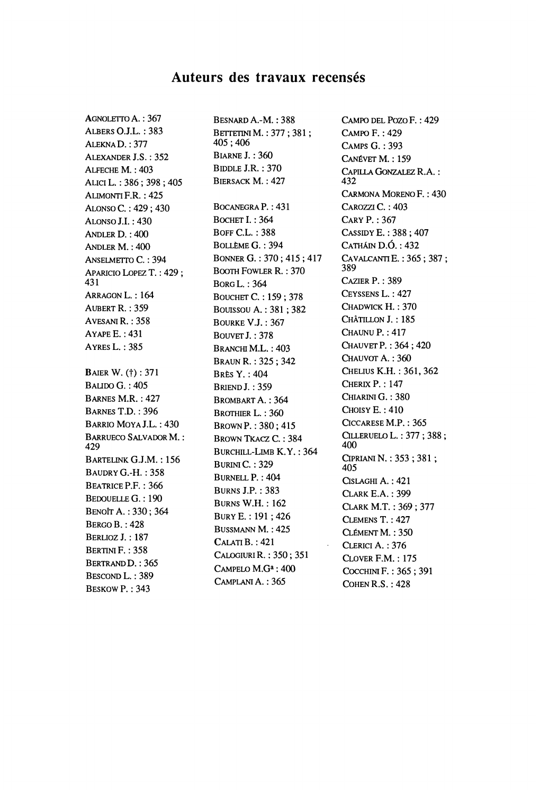# **Auteurs des travaux recensés**

AGNOLETTO A. : 367 ALBERS OJ.L. : 383 ALEKNAD. : 377 ALEXANDER J.S. : 352 ALFECHE M. : 403 ALICI L. : 386 ; 398 ; 405 ALIMONTI F.R. : 425 ALONSO C.: 429; 430 ALONSO J.I.: 430 ANDLER D. : 400 ANDLER M. : 400 ANSELMETTO C.: 394 APARICIO LOPEZ T. : 429 ; 431 ARRAGON L.: 164 AUBERT R. : 359 AVESANI R.: 358 AYAPEE. : 431 AYRES L. : 385 **BAIER W. (†): 371** BALIDO G. : 405 BARNES M.R. : 427 BARNES T.D. : 396 BARRIO MOYAJ.L. : 430 BARRUECO SALVADOR M. : 429 BARTELINK GJ.M. : 156 **BAUDRY G.-H.: 358** BEATRICE P.F. : 366 BEDOUELLE G. : 190 ΒΕΝΟΓΓΑ. : 330; 364 **BERGO B.: 428** BERLIOZ J. : 187 BERTINI F. : 358 BERTRAND D. : 365 BESCOND L. : 389 BESKOW P.: 343

BESNARDA.-M. :388 BETTETINI M. : 377; 381; 405 ; 406 BiARNE J. : 360 BIDDLE J.R. : 370 BIERSACK M. : 427 BOCANEGRAP. : 431 BOCHET I. : 364 BOFF GL. : 388 BOLLEME G. : 394 BONNER G. : 370 ; 415 ; 417 BOOTH FOWLER R. : 370 BORGL. :364 BoucHET G : 159 ; 378 BouissouA. : 381 ; 382 BOURKE V.J. : 367 BOUVET J. : 378 BRANCHI M.L.: 403 BRAUN R. : 325 ; 342 BRÈS Y. : 404 **BRIEND J.: 359** BROMBART A. : 364 BROTHIER L. : 360 BROWN P. : 380; 415 BROWN TKACZ C.: 384 BURCHILL-LIMB K.Y. : 364 **BURINI C.: 329** BURNELL P. : 404 BURNS J.P. : 383 BURNS W.H. : 162 BURYE. : 191; 426 BUSSMANN M. : 425 CALATI B.: 421 CALOGIURIR. : 350; 351  $C$ AMPELO  $M.G^a: 400$ CAMPLANI A. : 365

CAMPO DEL Pozo F. : 429 CAMPO F. : 429 CAMPS G. : 393 CANÉVET M. : 159 CAPILLA GONZALEZ R. Α. : 432 CARMONA MORENO F. : 430 CAROZZI C.: 403 CARY P. : 367 CASSIDYE. : 388; 407 CATHAIN D.O. : 432 CAVALCANTI E. : 365 ; 387 ; 389 CAZIER P. : 389 CEYSSENS L. : 427 CHADWICK H. : 370 CHÂTILLON J. : 185 CHAUNU P. : 417 CHAUVETP. : 364; 420 CHAUVOT A. : 360 CHELIUSK.H. : 361, 362 CHERIX  $P. : 147$ CHIARINI G. : 380 CHOIS Y E. : 410 **GccARESE M.P. : 365**  QLLERUELO L. : 377 ; 388 ; 400 CIPRIANI N. : 353; 381 ; 405 GSLAGHI A. : 421 CLARK E.A. : 399 CLARK M.T. : 369 ; 377 CLEMENS T. : 427 CLÉMENT M. : 350 CLERICI A. : 376 CLOVER F.M. : 175 COCCHINIF. : 365; 391 COHEN R.S. : 428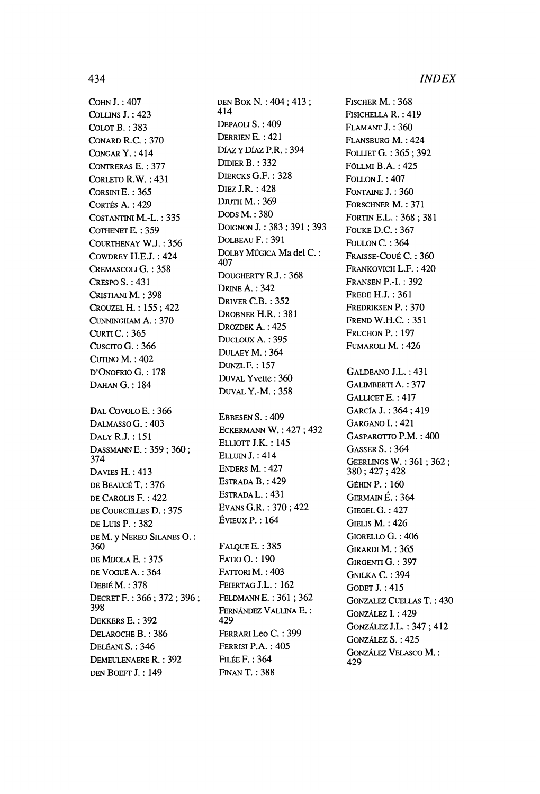FISCHER M.: 368

FISICHELLA R. : 419

**СОНМ Ј.: 407** COLLINS  $J. : 423$ COLOT B.: 383 **CONARD R.C.: 370** CONGAR Y.: 414 CONTRERAS E.: 377 CORLETO R.W.: 431 CORSINI E.: 365 CORTÉS A.: 429 COSTANTINI M.-L.: 335 COTHENET E.: 359 COURTHENAY W.J.: 356 COWDREY H.E.J.: 424 CREMASCOLI G.: 358 CRESPO  $S. : 431$ CRISTIANI M.: 398 CROUZEL H.: 155; 422 CUNNINGHAM A.: 370 **CURTI C.: 365** CUSCITO G.: 366 CUTINO M.: 402 D'ONOFRIO G.: 178 DAHAN G.: 184 DAL COVOLO E.: 366 DALMASSO G.: 403 DALY R.J.: 151 DASSMANN E.: 359; 360; 374 **DAVIES H.: 413** DE BEAUCÉ T.: 376 DE CAROLIS F.: 422 DE COURCELLES D. : 375 DE LUIS P.: 382 DE M. y NEREO SILANES O.: 360 DE MIJOLA E.: 375 DE VOGUE A.: 364 **DEBIÉ M.: 378** DECRET F.: 366; 372; 396; 398 DEKKERS E.: 392 DELAROCHE B.: 386 DELÉANI S.: 346 DEMEULENAERE R.: 392 DEN BOEFT J.: 149

DEN BOK N.: 404; 413; 414 DEPAOLI S.: 409 DERRIEN E.: 421 DÍAZ Y DÍAZ P.R.: 394 DIDIER B.: 332 DIERCKS G.F.: 328 **DIEZ J.R.: 428 DJUTH M.: 369** Dops M.: 380 DOIGNON J.: 383; 391; 393 DOLBEAU F.: 391 DOLBY MÚGICA Ma del C.: 407 DOUGHERTY R.J.: 368 **DRINE A.: 342** DRIVER C.B.: 352 DROBNER H.R.: 381 DROZDEK A.: 425 DUCLOUX A.: 395 DULAEY M.: 364 **DUNZLF.: 157** DUVAL Yvette: 360 **DUVAL Y.-M.: 358** EBBESEN S.: 409 **ECKERMANN W.: 427; 432** ELLIOTT J.K.: 145 **ELLUIN J.: 414** ENDERS M.: 427 ESTRADA B.: 429 ESTRADA L.: 431 EVANS G.R.: 370; 422  $ÉVIEUX P.: 164$ **FALOUE E.: 385** FATIO O.: 190 FATTORI M.: 403 FEIERTAG J.L.: 162 FELDMANN E.: 361; 362

FERNÁNDEZ VALLINA E.:

FERRARI Leo C.: 399

FERRISI P.A.: 405

**FILÉE F.: 364** 

**FINAN T.: 388** 

429

**FLAMANT J.: 360** FLANSBURG M.: 424 FOLLIET G.: 365; 392 **FÖLLMI B.A.: 425 FOLLON J.: 407** FONTAINE J.: 360 FORSCHNER M.: 371 FORTIN E.L.: 368; 381 **FOUKE D.C.: 367** FOULON C.: 364 FRAISSE-COUÉ C.: 360 FRANKOVICH L.F.: 420 **FRANSEN P.-I.: 392 FREDE H.J.: 361** FREDRIKSEN P. : 370 FREND W.H.C.: 351 FRUCHON P.: 197 FUMAROLI M.: 426 GALDEANO J.L.: 431 GALIMBERTI A.: 377 GALLICET E.: 417 GARCÍA J.: 364: 419 GARGANO I.: 421 GASPAROTTO P.M.: 400 **GASSER S.: 364** GEERLINGS W.: 361; 362; 380; 427; 428 **GÉHIN P.: 160** GERMAIN É.: 364 **GIEGEL G.: 427 GIELIS M.: 426** GIORELLO G.: 406 GIRARDI M.: 365 GIRGENTI G.: 397 **GNILKA C.: 394 GODET J.: 415 GONZALEZ CUELLAS T.: 430** GONZÁLEZ I.: 429 GONZÁLEZ J.L.: 347; 412 GONZÁLEZ S.: 425 **GONZÁLEZ VELASCO M.:** 429

## 434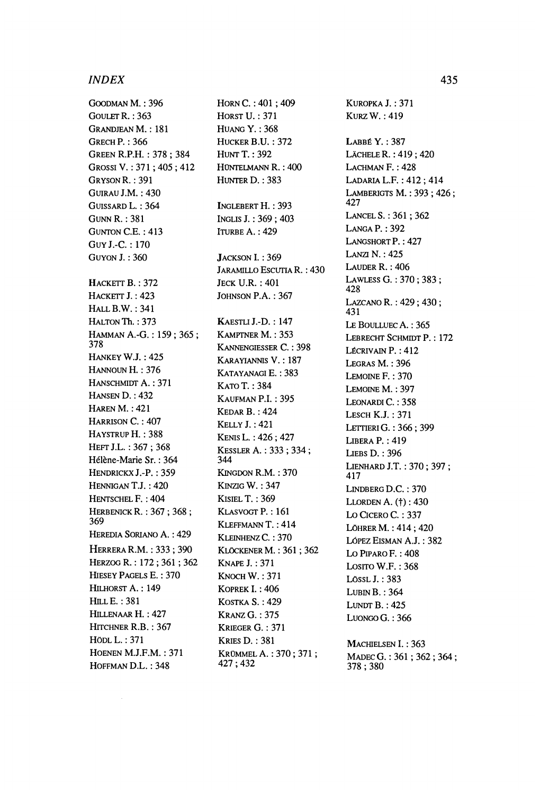### *INDEX* 435

GOODMAN M. : 396 GOULET R. : 363 GRANDJEAN M.: 181 GRECH P. : 366 GREEN R.P.H. : 378 ; 384 GROSSI V. : 371; 405; 412 GRYSONR. : 391 **GUIRAU J.M.: 430** GUISSARD L. : 364 GUNNR. : 381 GUNTON CE. : 413 GUY J.-C. : 170 GUYON J. : 360 HACKETT B. : 372 HACKETT J. : 423 HALL B.W. : 341 **HALTON Th.: 373** HAMMAN A.-G. : 159 ; 365 ; 378 **HANKEY W.J.: 425** HANNOUN H. : 376 HANSCHMIDT A. : 371 HANSEN D. : 432 **HAREN M.: 421** HARRISON C. : 407 HAYSTRUP H. : 388 HEFT J.L.: 367; 368 Hélène-Marie Sr. : 364 HENDRICKX J.-P.: 359 HENNIGAN T.J. : 420 HENTSCHEL F. : 404 HERBENICKR. : 367 ; 368 ; 369 HEREDIA SORIANO A. : 429 HERRERA R.M. : 333 ; 390 HERZOG R. : 172 ; 361 ; 362 HIESEY PAGELS E. : 370 HILHORST A. : 149 HILLE. : 381 HILLENAAR H. : 427 HITCHNER R.B.: 367 HÖDLL. : 371 HOENEN MJ.F.M. : 371 HOFFMAN D.L. : 348

 $HORN C. : 401 : 409$ HORST U. : 371 HUANG Y. : 368 HUCKER B.U. : 372 HUNT T.: 392 **HÜNTELMANN R. : 400**  HUNTER D. : 383 INGLEBERT H. : 393 INGLIS J. : 369 ; 403 **ITURBE A. : 429**  JACKSON I.: 369 JARAMILLO ESCUTIA R. : 430 JECK U.R. : 401 JOHNSON P.A. : 367 KAESTLIJ.-D. : 147 KAMPTNER M. : 353 KANNENGIESSER C. : 398 KARAYIANNIS V. : 187 KATAYANAGI E. : 383 **КАТО Т.: 384** KAUFMAN P.I. : 395 KEDAR B. : 424 KELLY J.: 421 KENISL. : 426; 427 KESSLER A. : 333 ; 334 ; 344 KINGDON R.M. : 370 **KINZIG W.: 347 KISIEL T.: 369** KLASVOGT P.: 161 KLEFFMANNT. :414 KLEINHENZ C.: 370 KLÖCKENERM. : 361 ; 362 KNAPEJ. : 371 KNOCHW. : 371 KOPREK I. : 406 KosTKA S. : 429 KRANZ G. : 375 KRIEGER G. : 371 KRIES D. : 381 KRÜMMELA. : 370; 371 ; 427 ; 432

KUROPKAJ. : 371 KURZW. :419 LABBÉ Y. : 387 LÄCHELE R. : 419; 420 LACHMAN F. : 428 LADARIAL.F. : 412; 414 LAMBERIGTS M. : 393 ; 426 ; 427 LANCELS. : 361 ; 362 LANGA P. : 392 LANGSHORT P.: 427 LANZI Ν. : 425 LAUDER R. : 406 LAWLESS G. : 370 ; 383 ; 428 LAZCANO R. : 429 ; 430 ; 431 LE BOULLUEC A. : 365 LEBRECHT SCHMIDT P. : 172 **LÉCRIVAIN P. : 412** LEGRAS M. : 396 LEMOINE F. : 370 LEMOINE M. : 397 LEONARDI C.: 358 LESCHKJ. : 371 LETTIERIG. : 366; 399 LIBERA P. : 419 LIEBS D. : 396 LIENHARD J.T. : 370 ; 397 ; 417 LINDBERG D.C.: 370 LLORDEN A. (t) : 430 LO CICERO C.: 337 LÖHRERM. : 414; 420 LÓPEZ EiSMAN A.J. : 382 Lo PIPARO F. : 408 Losrro W.F. : 368 LÖSSL J. : 383  $LUBINB. : 364$ LUNDT B. : 425 LUONGO G. : 366 MACHIELSEN I.: 363 MADEC G.: 361; 362; 364; 378 ; 380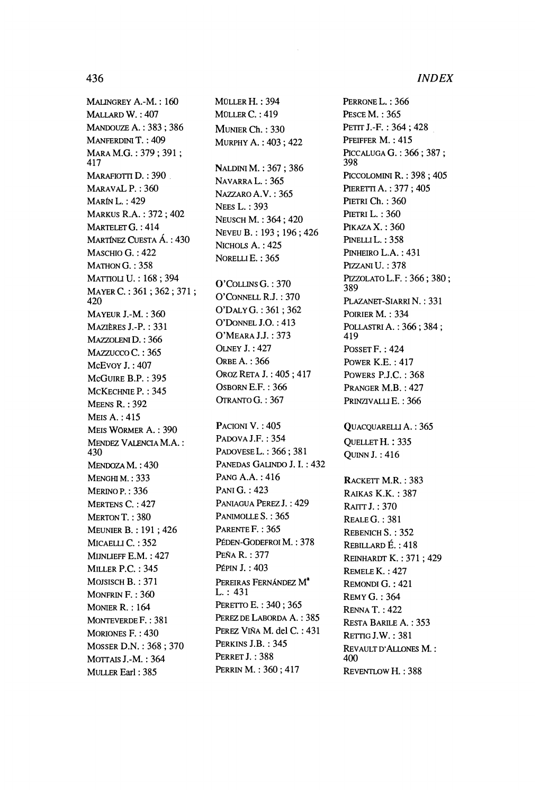MALINGREY A.-M. : 160 MALLARD W. : 407 MANDOUZE A. : 383 ; 386 MANFERDINI T. : 409 MARA M.G.: 379; 391; 417 MARAFIOTTI D.: 390 MARAVAL P.: 360 MARÍN L. : 429 MARKUS R.A. : 372 ; 402 MARTELET G.: 414 MARTÍNEZ CUESTA Á. : 430 MASCHIO G. : 422  $M$ ATHON $G. : 358$ MATTIOLI U. : 168 ; 394 MAYER C. : 361 ; 362 ; 371 ; 420 MAYEUR J.-M. : 360 MAZIÈRES J.-P. : 331 MAZZOLENID. : 366 MAZZUCCO C.: 365 McEvoy J.: 407 MCGUIRE B.P. : 395 MCKECHNIE P.: 345 MEENS R. : 392 MEIS A. : 415 MEIS WÖRMER A. : 390 MÉNDEZ VALENCIA M.A. : 430 MENDOZA M.: 430 **MENGHIM.: 333** MERINO P. : 336 MERTENS C. : 427 MERTON T.: 380 MEUNIER Β. : 191 ; 426 MICAELLI C.: 352 MIJNLIEFF E.M. : 427 MILLER P.C. : 345 MOJSISCH B.: 371 MONFRIN F. : 360 MONIER R. : 164 MONTEVERDEF. : 381 MORIONES F. : 430 MOSSER D.N. : 368 ; 370 ΜοττAIS J.-M. : 364 MÜLLER Earl : 385

MÜLLER H. : 394 MÜLLER C. : 419 MUNIER Ch. : 330 MURPHY A. : 403 ; 422 NALDINI M.: 367; 386 NAVARRA L. : 365 NAZZAROA.V. :365 **NEES L. : 393** NEUSCH M. : 364 ; 420 NEVEU Β. : 193 ; 196 ; 426 NICHOLS A. : 425 NORELLI E. : 365 O'COLLINSG. :370 O'CONNELL RJ. : 370 O'DALYG. : 361; 362 O'DONNEL J.O.: 413 O'MEARAJJ. :373 OLNEY J. : 427 ORBE A. : 366 OROZ RETAJ.: 405; 417 OSBORN E.F.: 366 OTRANTO G. : 367 PACIONI V.: 405 PADOVA J.F. : 354 PADOVESEL. : 366; 381 PANEDAS GALINDO J. I. : 432 PANG A.A. : 416 PANI G. : 423 PANIAGUA PEREZ J. : 429 PANIMOLLE S.: 365 PARENTE F.: 365 PÉDEN-GODEFROIM. : 378 PEÑA R. : 377 PÉPIN J. : 403 PEREIRAS FERNÁNDEZ M<sup>a</sup> L. : 431 PERETTO E. : 340 ; 365 PEREZ DE LABORDA A. : 385 PEREZ VIÑA M. del C. : 431 PERKINS J.B. : 345 PERRET J.: 388 PERRINM. : 360; 417

PERRONE L.: 366 PESCE M. : 365 PETIT J.-F.: 364; 428 PFEIFFER M.: 415 PICCALUGAG. : 366; 387; 398 PICCOLOMINI R. : 398 ; 405 PIERETTI A.: 377; 405 PIETRI Ch.: 360 PIETRI L. : 360 PIKAZA X.: 360 PINELLIL.: 358 PINHEIRO L.A.: 431 PIZZANIU. :378 P1ZZOLAT0L.F. : 366 ; 380 ; 389 PLAZANET-SIARRIN.: 331 POIRIER M. : 334 POLLASTRI Α.: 366; 384; 419 POSSET F. : 424 POWER K.E. : 417 POWERS PJ.C. : 368 PRANGER M.B. : 427 PRINZIVALLI E.: 366 QUACQUARELLI A.: 365

QUELLET Η. : 335 QUINNJ. :416

RACKETT M.R. : 383 RAIKAS K.K. : 387 RATTTJ. :370 REALE G. : 381 REBENICH S. : 352 REBILLARD È. : 418 REINHARDT Κ.: 371; 429 REMELE Κ. : 427 REMONDI G. : 421 REMY G. : 364 RENNA T. : 422 RESTA BARILE A. : 353 RETTIGJ.W. : 381 REVAULTD'ALLONES M. : 400 REVENTLOWH. : 388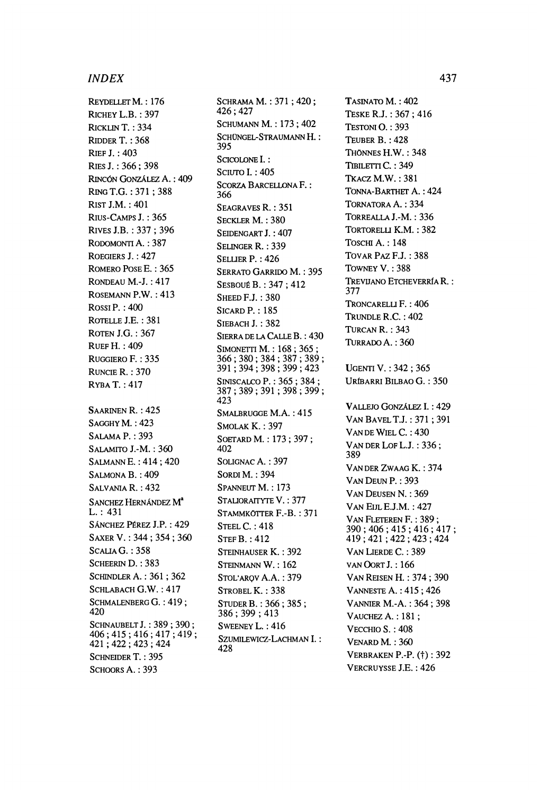### *INDEX* 437

REYDELLETM. : 176 RICHEY L.B.: 397 RICKLIN T. : 334 RIDDER T. : 368 RIEF J. : 403 RIES J. : 366; 398 RINCÓN GONZÁLEZ A. : 409 RINGT.G. : 371; 388 RIST J.M.: 401 RIUS-CAMPS J. : 365 RIVES J.B. : 337 ; 396 RODOMONTI A. : 387 ROEGIERS J. : 427 ROMERO POSE E. : 365 RONDEAU M.-J. : 417 ROSEMANN P.W.: 413 ROSSI P. :400 ROTELLE J.E. : 381 ROTEN LG. : 367 RUEF H. : 409 RUGGIERO F. : 335 RUNCIE R. : 370 RYBAT. :417 SAARINEN R. : 425 SAGGHY M.: 423 SALAMA P. : 393 SALAMITO J.-M. : 360 SALMANNE. : 414; 420 SALMONA Β.: 409 SALVANIA R. : 432 SANCHEZ HERNÁNDEZ M<sup>ª</sup> L. : 431 SÁNCHEZ PÉREZ J.P. : 429 SAXERV. : 344; 354; 360 SCALIA G.: 358 SCHEERIN D.: 383 SCHINDLER A. : 361 ; 362 SCHLABACH G.W. : 417 SCHMALENBERG G. : 419 ; 420 SCHNAUBELT J.: 389: 390: 406 ; 415 ; 416 ; 417 ; 419 ; 421 ; 422 ; 423 ; 424 SCHNEIDER T.: 395 SCHOORS A. : 393

SCHRAMA M.: 371; 420; 426 ; 427 SCHUMANN M. : 173 ; 402 SCHÜNGEL-STRAUMANNH.: 395 SCICOLONE<sup>L</sup>: SCIUTO I.: 405 SCORZA BARCELLONA F. : 366 SEAGRAVES R. : 351 SECKLER M. : 380 SEIDENGART J.: 407 SELINGER R. : 339 SELLIER P. : 426 SERRATO GARRIDO M. : 395 SESBOUÉ B.: 347: 412 SHEED F.J.: 380 SICARDP. : 185 SIEBACH J. : 382 SIERRA DE LA CALLE Β. : 430 SIMONETTI M. : 168 ; 365 ; 366 ; 380 ; 384 ; 387 ; 389 ; 391; 394; 398; 399; 423 SINISCALCO P. : 365 ; 384 ; 387 ; 389 ; 391 ; 398 ; 399 ; 423 SMALBRUGGE M.A. : 415 SMOLAK K. : 397 SOETARDM. : 173; 397; 402 SOLIGNAC A. : 397 SORDI M.: 394 SPANNEUT M. : 173 STALIORAITYTE V. : 377 STAMMKÖTTER F.-B. : 371 STEEL C. : 418 STEFB. :412 STEINHAUSER Κ. : 392 STEINMANN W.: 162 STOL'ARQV A.A. : 379 STROBEL K.: 338 STUDERB. : 366; 385; 386 ; 399 ; 413 SWEENEY L. : 416 SZUMILEWICZ-LACHMAN I. : 428

TASINATO M. : 402 TESKE R.J. : 367 ; 416 TESTONI O. : 393 TEUBER B. : 428 THÖNNES H.W.: 348 TIBILETTI C.: 349 TKACZM.W. : 381 TONNA-BARTHET A. : 424 TORNATORA A. : 334 TORREALLA J.-M.: 336 TORTORELU K.M. : 382 TOSCHI A. : 148 Το AR PAZ F.J. : 388 TOWNEY V. : 388 TREVUANO ETCHEVERRÍA R.: 377 TRONCARELLI F. : 406 TRUNDLE R.C. : 402 TURCAN R. : 343 TURRADO A. : 360 UGENTI V. : 342 ; 365 URÎBARRI BILBAO G. : 350 VALLEJO GONZÁLEZ I. : 429 VANBAVELTJ. : 371; 391 VAN DE WIEL C.: 430 VAN DER LOF L.J.: 336; 389 VAN DER ZWAAG K. : 374 VAN DEUN P.: 393 VAN DEUSEN N. : 369 VAN EIJLE.J.M.: 427 VAN FLETEREN F. : 389 ; 390 ; 406 ; 415 ; 416 ; 417 ; 419 ; 421 ; 422 ; 423 ; 424 VAN LIERDE C.: 389 VANOORTJ. : 166 VAN REISEN H.: 374; 390 VANNESTE A. : 415 ; 426 VANNIER M.-A. : 364 ; 398 VAUCHEZ A.: 181; VECCHIO S. : 408 VENARD M. : 360 VERBRAKEN P.-P. (f) : 392 VERCRUYSSE J.E. : 426